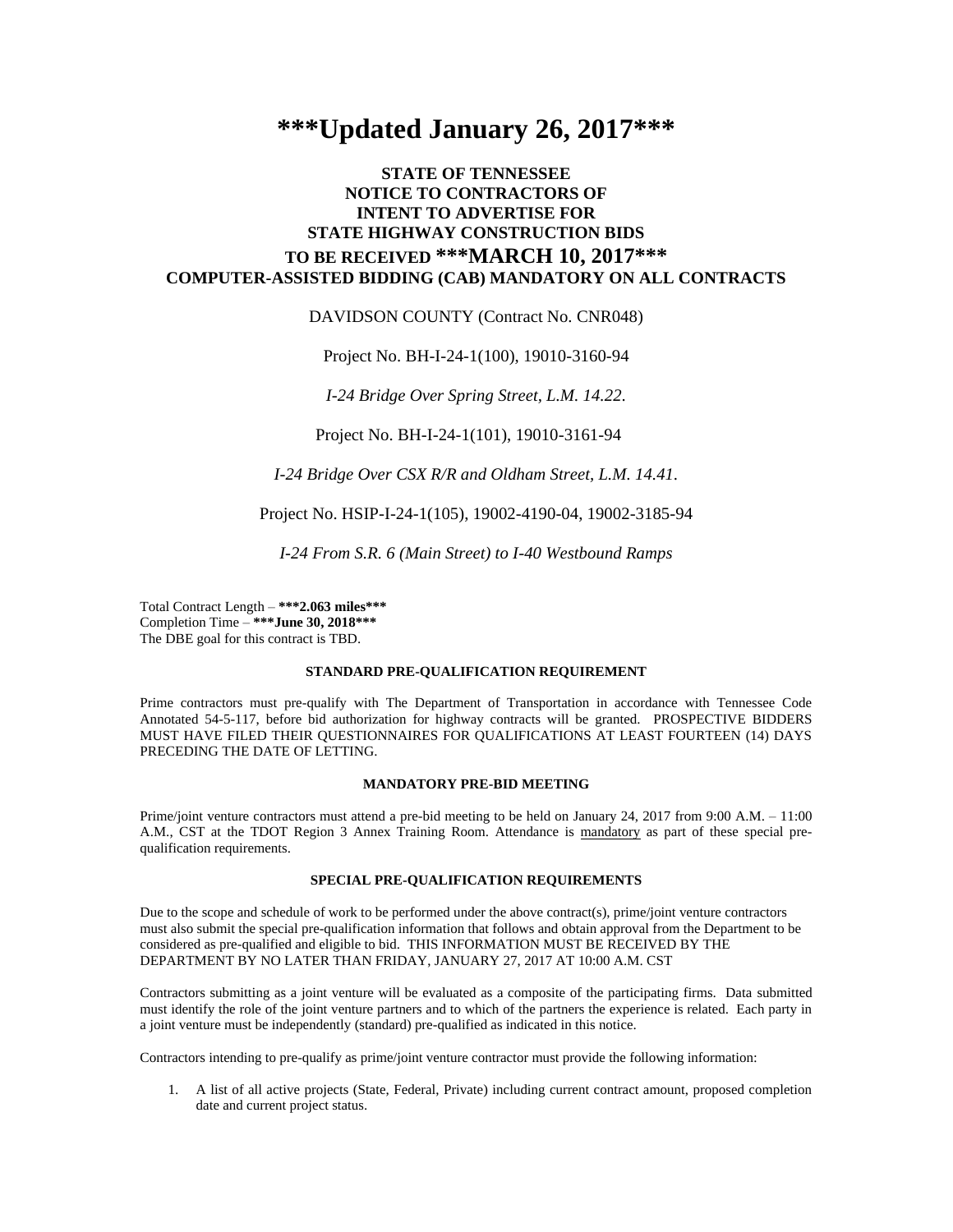# **\*\*\*Updated January 26, 2017\*\*\***

# **STATE OF TENNESSEE NOTICE TO CONTRACTORS OF INTENT TO ADVERTISE FOR STATE HIGHWAY CONSTRUCTION BIDS TO BE RECEIVED \*\*\*MARCH 10, 2017\*\*\* COMPUTER-ASSISTED BIDDING (CAB) MANDATORY ON ALL CONTRACTS**

### DAVIDSON COUNTY (Contract No. CNR048)

Project No. BH-I-24-1(100), 19010-3160-94

*I-24 Bridge Over Spring Street, L.M. 14.22.*

Project No. BH-I-24-1(101), 19010-3161-94

*I-24 Bridge Over CSX R/R and Oldham Street, L.M. 14.41.*

Project No. HSIP-I-24-1(105), 19002-4190-04, 19002-3185-94

*I-24 From S.R. 6 (Main Street) to I-40 Westbound Ramps*

Total Contract Length – **\*\*\*2.063 miles\*\*\*** Completion Time – **\*\*\*June 30, 2018\*\*\*** The DBE goal for this contract is TBD.

#### **STANDARD PRE-QUALIFICATION REQUIREMENT**

Prime contractors must pre-qualify with The Department of Transportation in accordance with Tennessee Code Annotated 54-5-117, before bid authorization for highway contracts will be granted. PROSPECTIVE BIDDERS MUST HAVE FILED THEIR QUESTIONNAIRES FOR QUALIFICATIONS AT LEAST FOURTEEN (14) DAYS PRECEDING THE DATE OF LETTING.

#### **MANDATORY PRE-BID MEETING**

Prime/joint venture contractors must attend a pre-bid meeting to be held on January 24, 2017 from 9:00 A.M. – 11:00 A.M., CST at the TDOT Region 3 Annex Training Room. Attendance is mandatory as part of these special prequalification requirements.

## **SPECIAL PRE-QUALIFICATION REQUIREMENTS**

Due to the scope and schedule of work to be performed under the above contract(s), prime/joint venture contractors must also submit the special pre-qualification information that follows and obtain approval from the Department to be considered as pre-qualified and eligible to bid. THIS INFORMATION MUST BE RECEIVED BY THE DEPARTMENT BY NO LATER THAN FRIDAY, JANUARY 27, 2017 AT 10:00 A.M. CST

Contractors submitting as a joint venture will be evaluated as a composite of the participating firms. Data submitted must identify the role of the joint venture partners and to which of the partners the experience is related. Each party in a joint venture must be independently (standard) pre-qualified as indicated in this notice.

Contractors intending to pre-qualify as prime/joint venture contractor must provide the following information:

1. A list of all active projects (State, Federal, Private) including current contract amount, proposed completion date and current project status.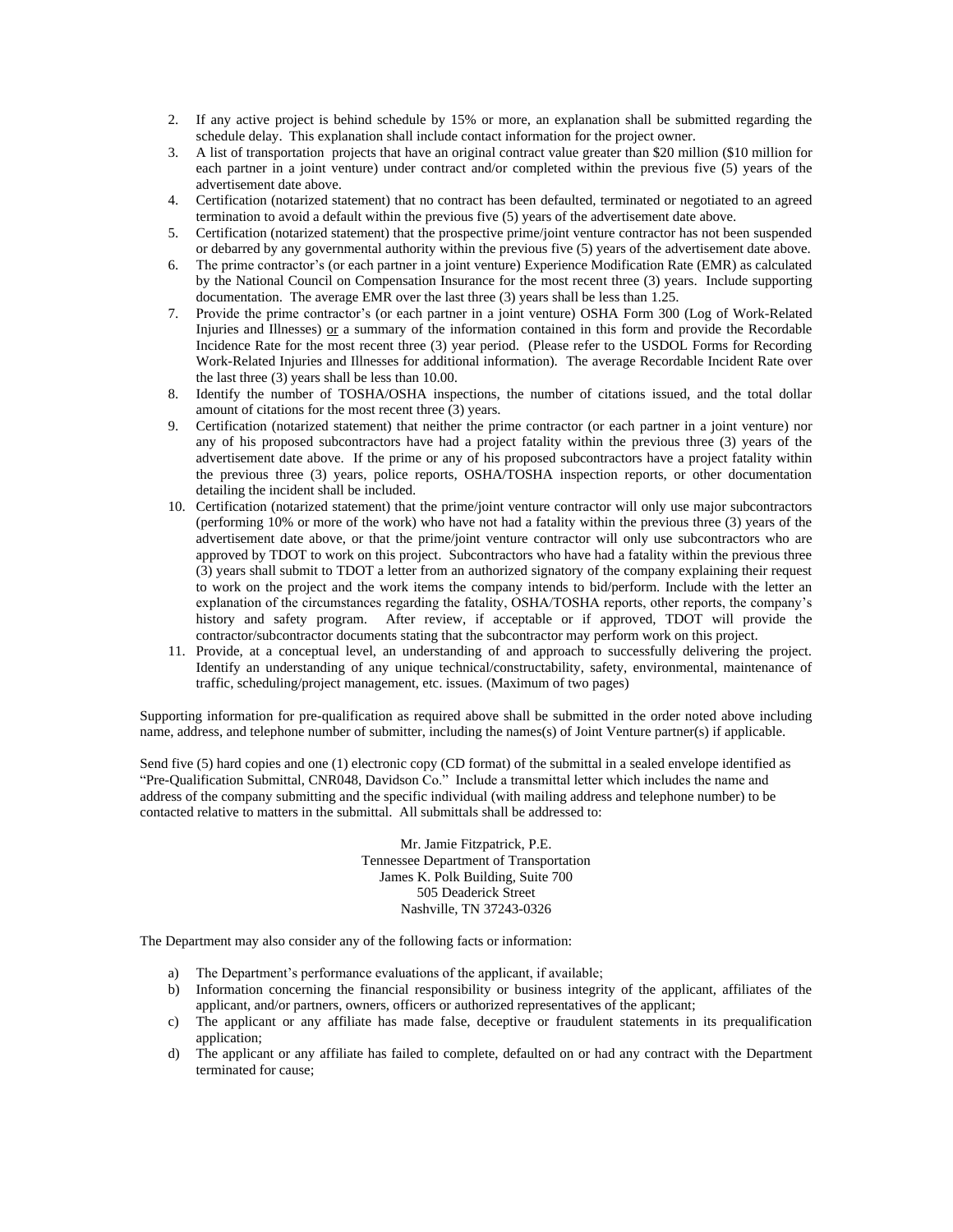- 2. If any active project is behind schedule by 15% or more, an explanation shall be submitted regarding the schedule delay. This explanation shall include contact information for the project owner.
- 3. A list of transportation projects that have an original contract value greater than \$20 million (\$10 million for each partner in a joint venture) under contract and/or completed within the previous five (5) years of the advertisement date above.
- 4. Certification (notarized statement) that no contract has been defaulted, terminated or negotiated to an agreed termination to avoid a default within the previous five (5) years of the advertisement date above.
- 5. Certification (notarized statement) that the prospective prime/joint venture contractor has not been suspended or debarred by any governmental authority within the previous five (5) years of the advertisement date above.
- 6. The prime contractor's (or each partner in a joint venture) Experience Modification Rate (EMR) as calculated by the National Council on Compensation Insurance for the most recent three (3) years. Include supporting documentation. The average EMR over the last three (3) years shall be less than 1.25.
- 7. Provide the prime contractor's (or each partner in a joint venture) OSHA Form 300 (Log of Work-Related Injuries and Illnesses)  $or$  a summary of the information contained in this form and provide the Recordable Incidence Rate for the most recent three (3) year period. (Please refer to the USDOL Forms for Recording Work-Related Injuries and Illnesses for additional information). The average Recordable Incident Rate over the last three (3) years shall be less than 10.00.
- 8. Identify the number of TOSHA/OSHA inspections, the number of citations issued, and the total dollar amount of citations for the most recent three (3) years.
- 9. Certification (notarized statement) that neither the prime contractor (or each partner in a joint venture) nor any of his proposed subcontractors have had a project fatality within the previous three (3) years of the advertisement date above. If the prime or any of his proposed subcontractors have a project fatality within the previous three (3) years, police reports, OSHA/TOSHA inspection reports, or other documentation detailing the incident shall be included.
- 10. Certification (notarized statement) that the prime/joint venture contractor will only use major subcontractors (performing 10% or more of the work) who have not had a fatality within the previous three (3) years of the advertisement date above, or that the prime/joint venture contractor will only use subcontractors who are approved by TDOT to work on this project. Subcontractors who have had a fatality within the previous three (3) years shall submit to TDOT a letter from an authorized signatory of the company explaining their request to work on the project and the work items the company intends to bid/perform. Include with the letter an explanation of the circumstances regarding the fatality, OSHA/TOSHA reports, other reports, the company's history and safety program. After review, if acceptable or if approved, TDOT will provide the contractor/subcontractor documents stating that the subcontractor may perform work on this project.
- 11. Provide, at a conceptual level, an understanding of and approach to successfully delivering the project. Identify an understanding of any unique technical/constructability, safety, environmental, maintenance of traffic, scheduling/project management, etc. issues. (Maximum of two pages)

Supporting information for pre-qualification as required above shall be submitted in the order noted above including name, address, and telephone number of submitter, including the names(s) of Joint Venture partner(s) if applicable.

Send five (5) hard copies and one (1) electronic copy (CD format) of the submittal in a sealed envelope identified as "Pre-Qualification Submittal, CNR048, Davidson Co." Include a transmittal letter which includes the name and address of the company submitting and the specific individual (with mailing address and telephone number) to be contacted relative to matters in the submittal. All submittals shall be addressed to:

> Mr. Jamie Fitzpatrick, P.E. Tennessee Department of Transportation James K. Polk Building, Suite 700 505 Deaderick Street Nashville, TN 37243-0326

The Department may also consider any of the following facts or information:

- a) The Department's performance evaluations of the applicant, if available;
- b) Information concerning the financial responsibility or business integrity of the applicant, affiliates of the applicant, and/or partners, owners, officers or authorized representatives of the applicant;
- c) The applicant or any affiliate has made false, deceptive or fraudulent statements in its prequalification application;
- d) The applicant or any affiliate has failed to complete, defaulted on or had any contract with the Department terminated for cause;